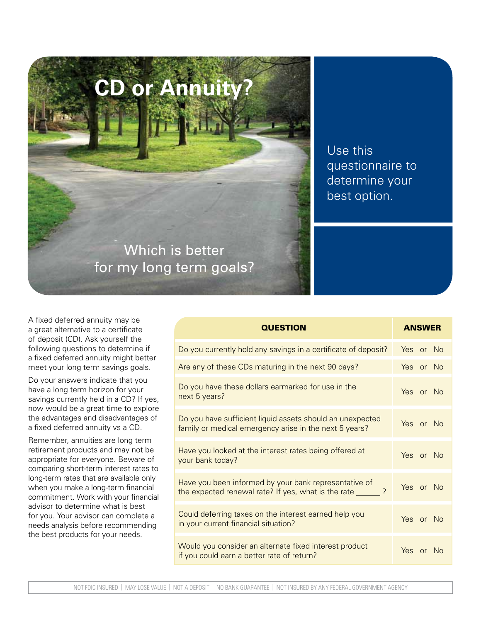**CD or Annuity?** Which is better for my long term goals?

Use this questionnaire to determine your best option.

A fixed deferred annuity may be a great alternative to a certificate of deposit (CD). Ask yourself the following questions to determine if a fixed deferred annuity might better meet your long term savings goals.

Do your answers indicate that you have a long term horizon for your savings currently held in a CD? If yes, now would be a great time to explore the advantages and disadvantages of a fixed deferred annuity vs a CD.

Remember, annuities are long term retirement products and may not be appropriate for everyone. Beware of comparing short-term interest rates to long-term rates that are available only when you make a long-term financial commitment. Work with your financial advisor to determine what is best for you. Your advisor can complete a needs analysis before recommending the best products for your needs.

| <b>QUESTION</b>                                                                                                      | <b>ANSWER</b>  |
|----------------------------------------------------------------------------------------------------------------------|----------------|
| Do you currently hold any savings in a certificate of deposit?                                                       | Yes or No      |
| Are any of these CDs maturing in the next 90 days?                                                                   | Yes or No      |
| Do you have these dollars earmarked for use in the<br>next 5 years?                                                  | Yes or No      |
| Do you have sufficient liquid assets should an unexpected<br>family or medical emergency arise in the next 5 years?  | Yes or No      |
| Have you looked at the interest rates being offered at<br>your bank today?                                           | Yes or No      |
| Have you been informed by your bank representative of<br>the expected renewal rate? If yes, what is the rate ______? | Yes or No      |
| Could deferring taxes on the interest earned help you<br>in your current financial situation?                        | Yes or No      |
| Would you consider an alternate fixed interest product<br>if you could earn a better rate of return?                 | Yes or<br>- No |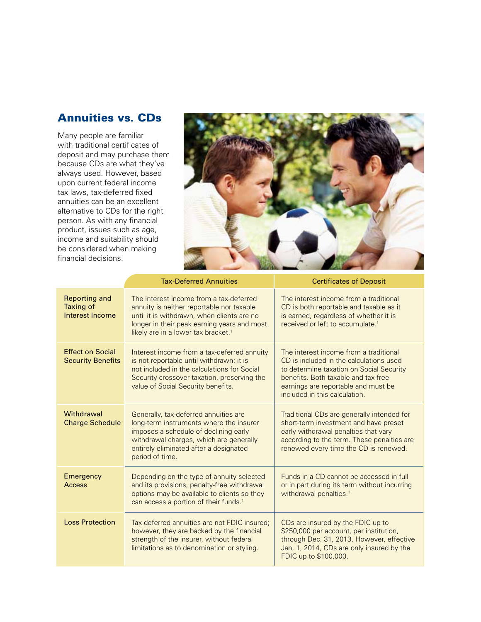## Annuities vs. CDs

Many people are familiar with traditional certificates of deposit and may purchase them because CDs are what they've always used. However, based upon current federal income tax laws, tax-deferred fixed annuities can be an excellent alternative to CDs for the right person. As with any financial product, issues such as age, income and suitability should be considered when making financial decisions.



|                                                             | <b>Tax-Deferred Annuities</b>                                                                                                                                                                                                        | <b>Certificates of Deposit</b>                                                                                                                                                                                                               |
|-------------------------------------------------------------|--------------------------------------------------------------------------------------------------------------------------------------------------------------------------------------------------------------------------------------|----------------------------------------------------------------------------------------------------------------------------------------------------------------------------------------------------------------------------------------------|
| <b>Reporting and</b><br><b>Taxing of</b><br>Interest Income | The interest income from a tax-deferred<br>annuity is neither reportable nor taxable<br>until it is withdrawn, when clients are no<br>longer in their peak earning years and most<br>likely are in a lower tax bracket. <sup>1</sup> | The interest income from a traditional<br>CD is both reportable and taxable as it<br>is earned, regardless of whether it is<br>received or left to accumulate. <sup>1</sup>                                                                  |
| <b>Effect on Social</b><br><b>Security Benefits</b>         | Interest income from a tax-deferred annuity<br>is not reportable until withdrawn; it is<br>not included in the calculations for Social<br>Security crossover taxation, preserving the<br>value of Social Security benefits.          | The interest income from a traditional<br>CD is included in the calculations used<br>to determine taxation on Social Security<br>benefits. Both taxable and tax-free<br>earnings are reportable and must be<br>included in this calculation. |
| Withdrawal<br><b>Charge Schedule</b>                        | Generally, tax-deferred annuities are<br>long-term instruments where the insurer<br>imposes a schedule of declining early<br>withdrawal charges, which are generally<br>entirely eliminated after a designated<br>period of time.    | Traditional CDs are generally intended for<br>short-term investment and have preset<br>early withdrawal penalties that vary<br>according to the term. These penalties are<br>renewed every time the CD is renewed.                           |
| Emergency<br><b>Access</b>                                  | Depending on the type of annuity selected<br>and its provisions, penalty-free withdrawal<br>options may be available to clients so they<br>can access a portion of their funds. <sup>1</sup>                                         | Funds in a CD cannot be accessed in full<br>or in part during its term without incurring<br>withdrawal penalties. <sup>1</sup>                                                                                                               |
| <b>Loss Protection</b>                                      | Tax-deferred annuities are not FDIC-insured:<br>however, they are backed by the financial<br>strength of the insurer, without federal<br>limitations as to denomination or styling.                                                  | CDs are insured by the FDIC up to<br>\$250,000 per account, per institution,<br>through Dec. 31, 2013. However, effective<br>Jan. 1, 2014, CDs are only insured by the<br>FDIC up to \$100,000.                                              |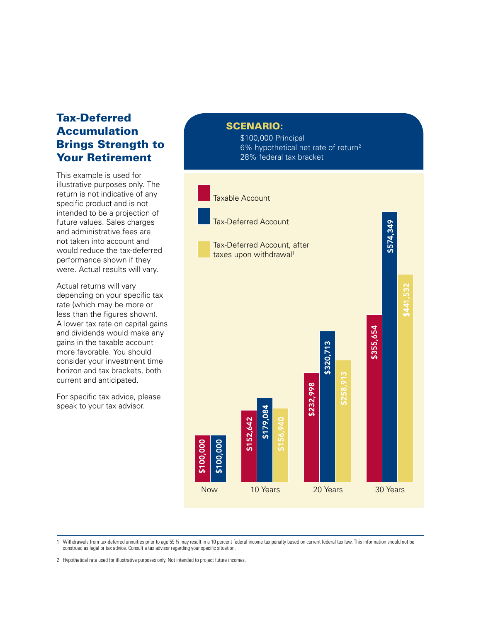## Tax-Deferred Accumulation Brings Strength to Your Retirement

This example is used for illustrative purposes only. The return is not indicative of any specific product and is not intended to be a projection of future values. Sales charges and administrative fees are not taken into account and would reduce the tax-deferred performance shown if they were. Actual results will vary.

Actual returns will vary depending on your specific tax rate (which may be more or less than the figures shown). A lower tax rate on capital gains and dividends would make any gains in the taxable account more favorable. You should consider your investment time horizon and tax brackets, both current and anticipated.

For specific tax advice, please speak to your tax advisor.

**SCENARIO:** 

\$100,000 Principal 6% hypothetical net rate of return2 28% federal tax bracket



1 Withdrawals from tax-deferred annuities prior to age 59 ½ may result in a 10 percent federal income tax penalty based on current federal tax law. This information should not be construed as legal or tax advice. Consult a tax advisor regarding your specific situation.

2 Hypothetical rate used for illustrative purposes only. Not intended to project future incomes.